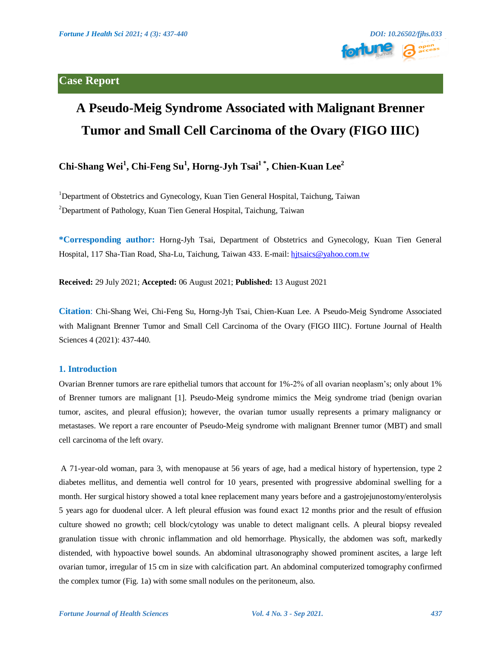

# **A Pseudo-Meig Syndrome Associated with Malignant Brenner Tumor and Small Cell Carcinoma of the Ovary (FIGO IIIC)**

# **Chi-Shang Wei<sup>1</sup> , Chi-Feng Su<sup>1</sup> , Horng-Jyh Tsai1 \* , Chien-Kuan Lee<sup>2</sup>**

<sup>1</sup>Department of Obstetrics and Gynecology, Kuan Tien General Hospital, Taichung, Taiwan <sup>2</sup>Department of Pathology, Kuan Tien General Hospital, Taichung, Taiwan

**\*Corresponding author:** Horng-Jyh Tsai, Department of Obstetrics and Gynecology, Kuan Tien General Hospital, 117 Sha-Tian Road, Sha-Lu, Taichung, Taiwan 433. E-mail: [hjtsaics@yahoo.com.tw](mailto:hjtsaics@yahoo.com.tw)

**Received:** 29 July 2021; **Accepted:** 06 August 2021; **Published:** 13 August 2021

**Citation**: Chi-Shang Wei, Chi-Feng Su, Horng-Jyh Tsai, Chien-Kuan Lee. A Pseudo-Meig Syndrome Associated with Malignant Brenner Tumor and Small Cell Carcinoma of the Ovary (FIGO IIIC). Fortune Journal of Health Sciences 4 (2021): 437-440.

#### **1. Introduction**

Ovarian Brenner tumors are rare epithelial tumors that account for 1%-2% of all ovarian neoplasm's; only about 1% of Brenner tumors are malignant [1]. Pseudo-Meig syndrome mimics the Meig syndrome triad (benign ovarian tumor, ascites, and pleural effusion); however, the ovarian tumor usually represents a primary malignancy or metastases. We report a rare encounter of Pseudo-Meig syndrome with malignant Brenner tumor (MBT) and small cell carcinoma of the left ovary.

A 71-year-old woman, para 3, with menopause at 56 years of age, had a medical history of hypertension, type 2 diabetes mellitus, and dementia well control for 10 years, presented with progressive abdominal swelling for a month. Her surgical history showed a total knee replacement many years before and a gastrojejunostomy/enterolysis 5 years ago for duodenal ulcer. A left pleural effusion was found exact 12 months prior and the result of effusion culture showed no growth; cell block/cytology was unable to detect malignant cells. A pleural biopsy revealed granulation tissue with chronic inflammation and old hemorrhage. Physically, the abdomen was soft, markedly distended, with hypoactive bowel sounds. An abdominal ultrasonography showed prominent ascites, a large left ovarian tumor, irregular of 15 cm in size with calcification part. An abdominal computerized tomography confirmed the complex tumor (Fig. 1a) with some small nodules on the peritoneum, also.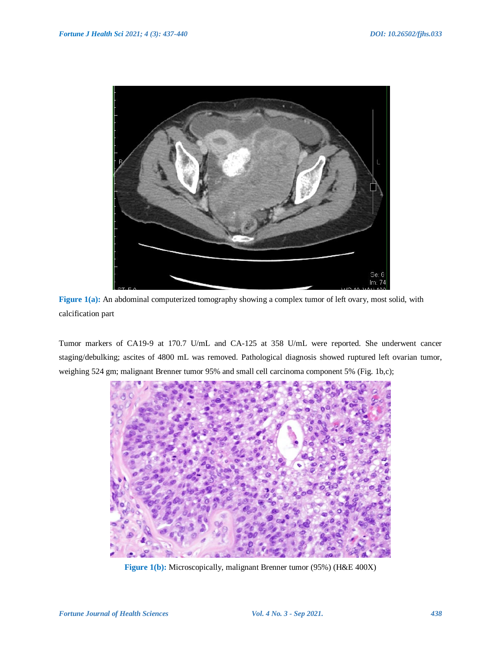

**Figure** 1(a): An abdominal computerized tomography showing a complex tumor of left ovary, most solid, with calcification part

Tumor markers of CA19-9 at 170.7 U/mL and CA-125 at 358 U/mL were reported. She underwent cancer staging/debulking; ascites of 4800 mL was removed. Pathological diagnosis showed ruptured left ovarian tumor, weighing 524 gm; malignant Brenner tumor 95% and small cell carcinoma component 5% (Fig. 1b,c);



**Figure 1(b):** Microscopically, malignant Brenner tumor (95%) (H&E 400X)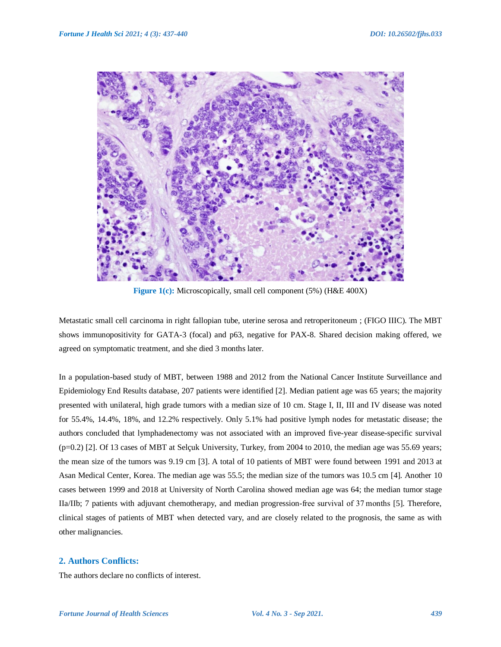

**Figure 1(c):** Microscopically, small cell component (5%) (H&E 400X)

Metastatic small cell carcinoma in right fallopian tube, uterine serosa and retroperitoneum ; (FIGO IIIC). The MBT shows immunopositivity for GATA-3 (focal) and p63, negative for PAX-8. Shared decision making offered, we agreed on symptomatic treatment, and she died 3 months later.

In a population-based study of MBT, between 1988 and 2012 from the National Cancer Institute Surveillance and Epidemiology End Results database, 207 patients were identified [2]. Median patient age was 65 years; the majority presented with unilateral, high grade tumors with a median size of 10 cm. Stage I, II, III and IV disease was noted for 55.4%, 14.4%, 18%, and 12.2% respectively. Only 5.1% had positive lymph nodes for metastatic disease; the authors concluded that lymphadenectomy was not associated with an improved five-year disease-specific survival (p=0.2) [2]. Of 13 cases of MBT at Selçuk University, Turkey, from 2004 to 2010, the median age was 55.69 years; the mean size of the tumors was 9.19 cm [3]. A total of 10 patients of MBT were found between 1991 and 2013 at Asan Medical Center, Korea. The median age was 55.5; the median size of the tumors was 10.5 cm [4]. Another 10 cases between 1999 and 2018 at University of North Carolina showed median age was 64; the median tumor stage IIa/IIb; 7 patients with adjuvant chemotherapy, and median progression-free survival of 37 months [5]. Therefore, clinical stages of patients of MBT when detected vary, and are closely related to the prognosis, the same as with other malignancies.

## **2. Authors Conflicts:**

The authors declare no conflicts of interest.